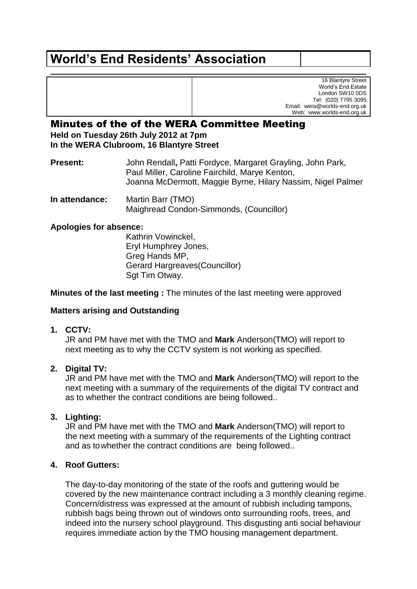# **World's End Residents' Association**

16 Blantyre Street World's End Estate London SW10 0DS Tel: (020) 7795 3095 Email: wera@worlds-end.org.uk Web: www.worlds-end.org.uk

# Minutes of the of the WERA Committee Meeting **Held on Tuesday 26th July 2012 at 7pm**

**In the WERA Clubroom, 16 Blantyre Street**

**Present:** John Rendall**,** Patti Fordyce, Margaret Grayling, John Park, Paul Miller, Caroline Fairchild, Marye Kenton, Joanna McDermott, Maggie Byrne, Hilary Nassim, Nigel Palmer

**In attendance:** Martin Barr (TMO) Maighread Condon-Simmonds, (Councillor)

#### **Apologies for absence:**

Kathrin Vowinckel, Eryl Humphrey Jones, Greg Hands MP, Gerard Hargreaves(Councillor) Sat Tim Otway.

**Minutes of the last meeting :** The minutes of the last meeting were approved

# **Matters arising and Outstanding**

**1. CCTV:**

JR and PM have met with the TMO and **Mark** Anderson(TMO) will report to next meeting as to why the CCTV system is not working as specified.

# **2. Digital TV:**

JR and PM have met with the TMO and **Mark** Anderson(TMO) will report to the next meeting with a summary of the requirements of the digital TV contract and as to whether the contract conditions are being followed..

# **3. Lighting:**

JR and PM have met with the TMO and **Mark** Anderson(TMO) will report to the next meeting with a summary of the requirements of the Lighting contract and as towhether the contract conditions are being followed..

# **4. Roof Gutters:**

The day-to-day monitoring of the state of the roofs and guttering would be covered by the new maintenance contract including a 3 monthly cleaning regime. Concern/distress was expressed at the amount of rubbish including tampons, rubbish bags being thrown out of windows onto surrounding roofs, trees, and indeed into the nursery school playground. This disgusting anti social behaviour requires immediate action by the TMO housing management department.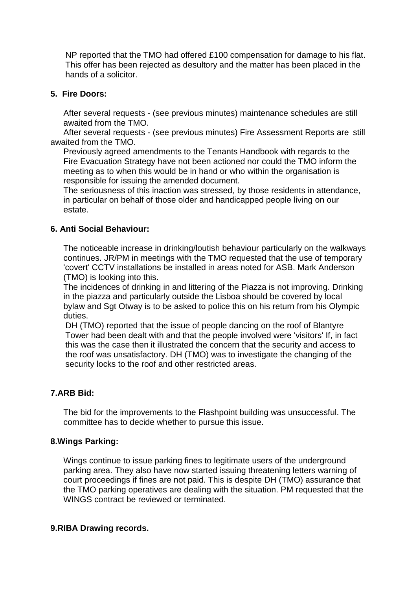NP reported that the TMO had offered £100 compensation for damage to his flat. This offer has been rejected as desultory and the matter has been placed in the hands of a solicitor.

#### **5. Fire Doors:**

After several requests - (see previous minutes) maintenance schedules are still awaited from the TMO.

After several requests - (see previous minutes) Fire Assessment Reports are still awaited from the TMO.

Previously agreed amendments to the Tenants Handbook with regards to the Fire Evacuation Strategy have not been actioned nor could the TMO inform the meeting as to when this would be in hand or who within the organisation is responsible for issuing the amended document.

The seriousness of this inaction was stressed, by those residents in attendance, in particular on behalf of those older and handicapped people living on our estate.

#### **6. Anti Social Behaviour:**

The noticeable increase in drinking/loutish behaviour particularly on the walkways continues. JR/PM in meetings with the TMO requested that the use of temporary 'covert' CCTV installations be installed in areas noted for ASB. Mark Anderson (TMO) is looking into this.

The incidences of drinking in and littering of the Piazza is not improving. Drinking in the piazza and particularly outside the Lisboa should be covered by local bylaw and Sgt Otway is to be asked to police this on his return from his Olympic duties.

DH (TMO) reported that the issue of people dancing on the roof of Blantyre Tower had been dealt with and that the people involved were 'visitors' If, in fact this was the case then it illustrated the concern that the security and access to the roof was unsatisfactory. DH (TMO) was to investigate the changing of the security locks to the roof and other restricted areas.

#### **7.ARB Bid:**

The bid for the improvements to the Flashpoint building was unsuccessful. The committee has to decide whether to pursue this issue.

#### **8.Wings Parking:**

Wings continue to issue parking fines to legitimate users of the underground parking area. They also have now started issuing threatening letters warning of court proceedings if fines are not paid. This is despite DH (TMO) assurance that the TMO parking operatives are dealing with the situation. PM requested that the WINGS contract be reviewed or terminated.

#### **9.RIBA Drawing records.**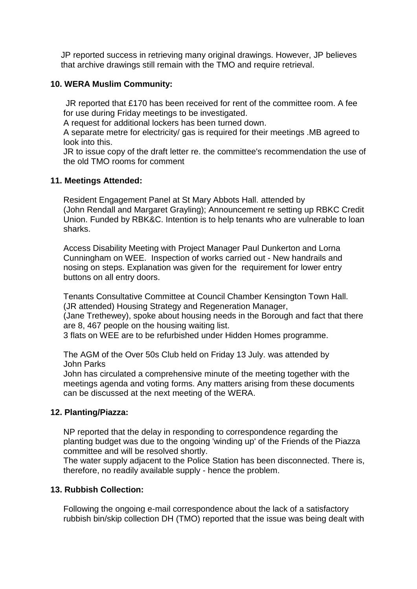JP reported success in retrieving many original drawings. However, JP believes that archive drawings still remain with the TMO and require retrieval.

#### **10. WERA Muslim Community:**

JR reported that £170 has been received for rent of the committee room. A fee for use during Friday meetings to be investigated.

A request for additional lockers has been turned down.

A separate metre for electricity/ gas is required for their meetings .MB agreed to look into this.

JR to issue copy of the draft letter re. the committee's recommendation the use of the old TMO rooms for comment

#### **11. Meetings Attended:**

Resident Engagement Panel at St Mary Abbots Hall. attended by (John Rendall and Margaret Grayling); Announcement re setting up RBKC Credit Union. Funded by RBK&C. Intention is to help tenants who are vulnerable to loan sharks.

Access Disability Meeting with Project Manager Paul Dunkerton and Lorna Cunningham on WEE. Inspection of works carried out - New handrails and nosing on steps. Explanation was given for the requirement for lower entry buttons on all entry doors.

Tenants Consultative Committee at Council Chamber Kensington Town Hall. (JR attended) Housing Strategy and Regeneration Manager,

(Jane Trethewey), spoke about housing needs in the Borough and fact that there are 8, 467 people on the housing waiting list.

3 flats on WEE are to be refurbished under Hidden Homes programme.

The AGM of the Over 50s Club held on Friday 13 July. was attended by John Parks

John has circulated a comprehensive minute of the meeting together with the meetings agenda and voting forms. Any matters arising from these documents can be discussed at the next meeting of the WERA.

#### **12. Planting/Piazza:**

NP reported that the delay in responding to correspondence regarding the planting budget was due to the ongoing 'winding up' of the Friends of the Piazza committee and will be resolved shortly.

The water supply adjacent to the Police Station has been disconnected. There is, therefore, no readily available supply - hence the problem.

#### **13. Rubbish Collection:**

Following the ongoing e-mail correspondence about the lack of a satisfactory rubbish bin/skip collection DH (TMO) reported that the issue was being dealt with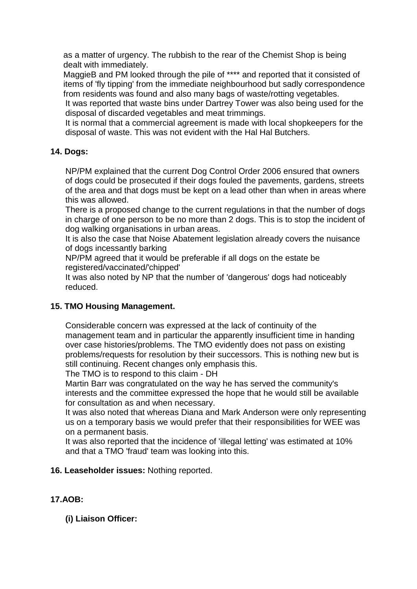as a matter of urgency. The rubbish to the rear of the Chemist Shop is being dealt with immediately.

MaggieB and PM looked through the pile of \*\*\*\* and reported that it consisted of items of 'fly tipping' from the immediate neighbourhood but sadly correspondence from residents was found and also many bags of waste/rotting vegetables.

It was reported that waste bins under Dartrey Tower was also being used for the disposal of discarded vegetables and meat trimmings.

It is normal that a commercial agreement is made with local shopkeepers for the disposal of waste. This was not evident with the Hal Hal Butchers.

# **14. Dogs:**

NP/PM explained that the current Dog Control Order 2006 ensured that owners of dogs could be prosecuted if their dogs fouled the pavements, gardens, streets of the area and that dogs must be kept on a lead other than when in areas where this was allowed.

There is a proposed change to the current regulations in that the number of dogs in charge of one person to be no more than 2 dogs. This is to stop the incident of dog walking organisations in urban areas.

It is also the case that Noise Abatement legislation already covers the nuisance of dogs incessantly barking

NP/PM agreed that it would be preferable if all dogs on the estate be registered/vaccinated/'chipped'

It was also noted by NP that the number of 'dangerous' dogs had noticeably reduced.

# **15. TMO Housing Management.**

Considerable concern was expressed at the lack of continuity of the management team and in particular the apparently insufficient time in handing over case histories/problems. The TMO evidently does not pass on existing problems/requests for resolution by their successors. This is nothing new but is still continuing. Recent changes only emphasis this.

The TMO is to respond to this claim - DH

Martin Barr was congratulated on the way he has served the community's interests and the committee expressed the hope that he would still be available for consultation as and when necessary.

It was also noted that whereas Diana and Mark Anderson were only representing us on a temporary basis we would prefer that their responsibilities for WEE was on a permanent basis.

It was also reported that the incidence of 'illegal letting' was estimated at 10% and that a TMO 'fraud' team was looking into this.

# **16. Leaseholder issues:** Nothing reported.

# **17.AOB:**

**(i) Liaison Officer:**